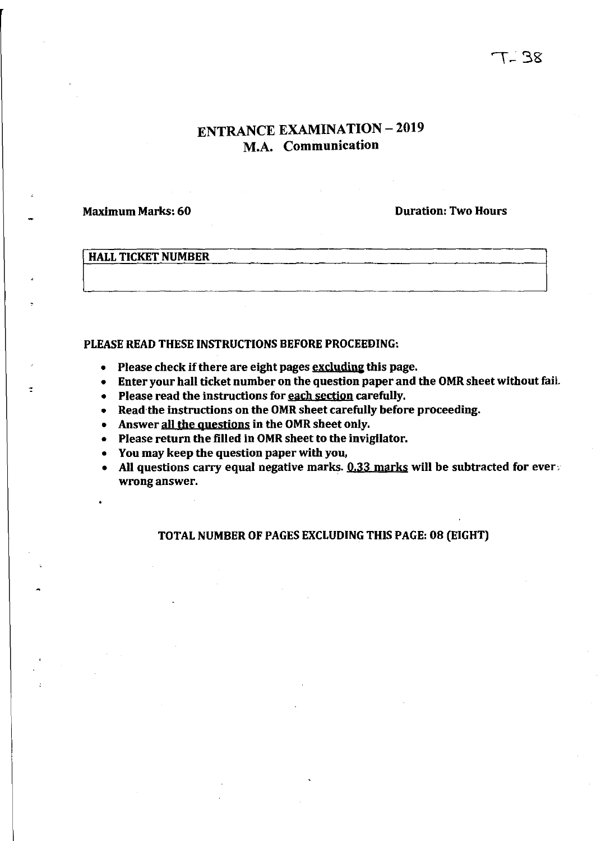# ENTRANCE EXAMINATION - 2019 M.A. Communication

# Maximum Marks: 60 **Duration: Two Hours**

# HALL TICKET NUMBER

### PLEASE READ THESE INSTRUCTIONS BEFORE PROCEEDING:

- $\bullet$  Please check if there are eight pages excluding this page.
- Enter your hall ticket number on the question paper and the OMR sheet without fail.
- Please read the instructions for each section carefully.
- Read the instructions on the OMR sheet carefully before proceeding.
- Answer all the questions in the OMR sheet only.
- Please return the filled in OMR sheet to the invigilator.
- You may keep the question paper with you,
- All questions carry equal negative marks.  $0.33$  marks will be subtracted for ever. wrong answer.

## TOTAL NUMBER OF PAGES EXCLUDING THIS PAGE: 08 (EIGHT)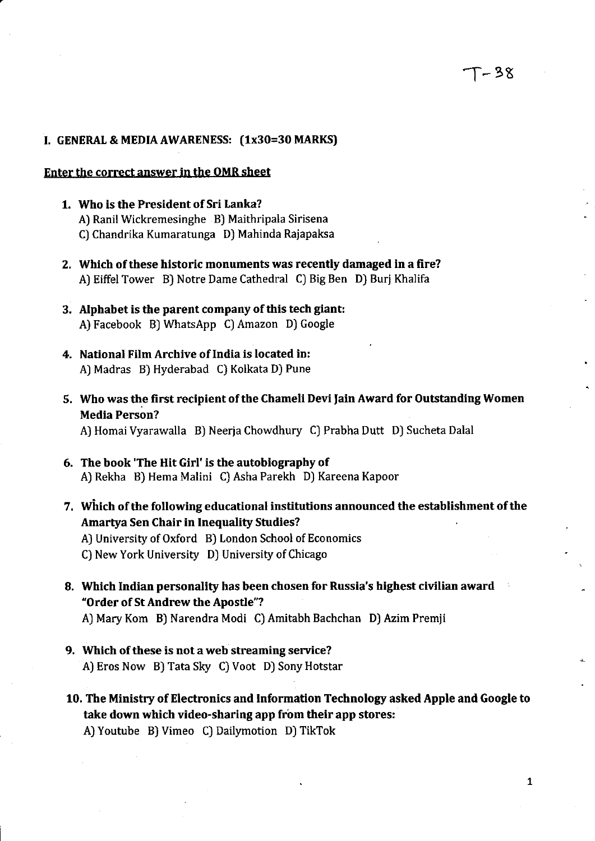# I. GENERAL & MEDIA AWARENESS: (1x30=30 MARKS)

### Enter the correct answer in the OMR sheet

- 1. Who is the President of Sri Lanka? A) Ranil Wickremesinghe B) Maithripala Sirisena C) Chandrika Kumaratunga D) Mahinda Rajapaksa
- 2. Which of these historic monuments was recently damaged in a fire? A) Eiffel Tower B) Notre Dame Cathedral C) Big Ben D) Burj Khalifa
- 3. Alphabet is the parent company of this tech giant: A) Facebook B) WhatsApp C) Amazon D) Google
- 4. National Film Archive of India is located in: A) Madras B) Hyderabad C) Kolkata D) Pune
- 5. Who was the first recipient of the Chameli Devi Jain Award for Outstanding Women Media Person? A) Homai Vyarawalla B) Neerja Chowdhury C) Prabha Dutt D) Sucheta Dalal

- 6. The book 'The Hit Girl' is the autobiography of A) Rekha B) Hema Malini C) Asha Parekh D) Kareena Kapoor
- 7. Which of the following educational institutions announced the establishment of the Amartya Sen Chair in Inequality Studies? A) University of Oxford B) London School of Economics C) New York University D) University of Chicago
- 8. Which Indian personality has been chosen for Russia's highest civilian award "Order of St Andrew the Apostle"? A) Mary Kom B) Narendra Modi C) Amitabh Bachchan D) Azim Premji
- 9. Which of these is not a web streaming service? A) Eros Now B) Tata Sky C) Voot D) Sony Hotstar
- 10. The Ministry of Electronics and Information Technology asked Apple and Google to take down which video-sharing app from their app stores: A) Youtube B) Vimeo C) Dailymotion D) TikTok

1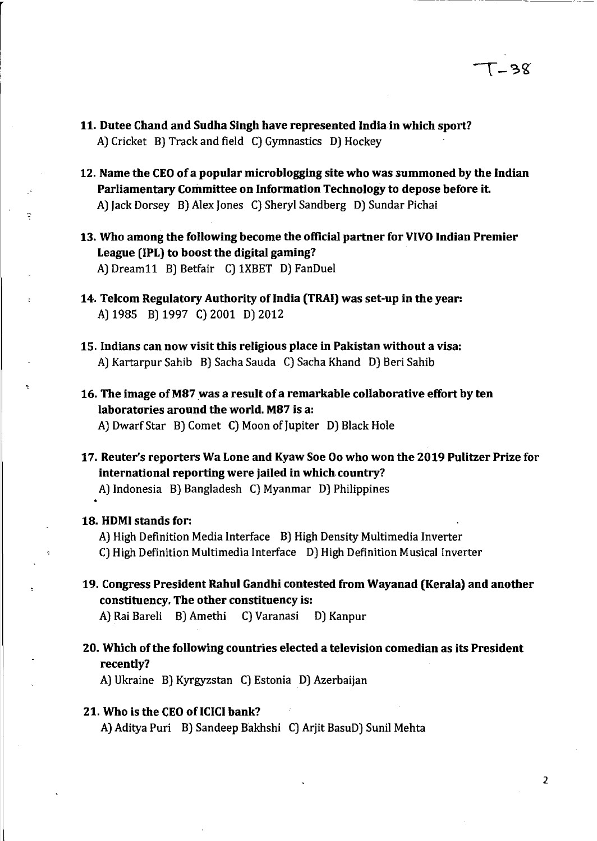----- --------

- 11. Dutee Chand and Sudha Singh have represented India in which sport? A) Cricket B) Track and field C) Gymnastics D) Hockey
- 12. Name the CEO of a popular microblogging site who was summoned by the Indian Parliamentary Committee on Information Technology to depose before it. A) Jack Dorsey B) Alex Jones C) Sheryl Sandberg D) Sundar Pichai
- 13. Who among the following become the official partner for VIVO Indian Premier League (IPL) to boost the digital gaming?

A) Dreamll B) Betfair C) 1XBET D) FanDuel

- 14. Telcom Regulatory Authority of India (TRAI) was set-up in the year: A) 1985 B) 1997 C) 2001 D) 2012
- 15. Indians can now visit this religious place in Pakistan without a visa: A) Kartarpur Sahib B) Sacha Sauda C) Sacha Khand D) Beri Sahib
- 16. The image of M87 was a result of a remarkable collaborative effort by ten laboratories around the world. M87 is a:

A) Dwarf Star B) Comet C) Moon of Jupiter D) Black Hole

17. Reuter's reporters Wa Lone and Kyaw Soe 00 who won the 2019 Pulitzer Prize for international reporting were jailed in which. country?

A) Indonesia B) Bangladesh C) Myanmar D) Philippines

18. HDMI stands for:

 $\overline{\mathcal{L}}$ 

- A) High Definition Media Interface B) High Density Multimedia Inverter
- C) High Definition Multimedia Interface D) High Definition Musical Inverter
- 19. Congress President Rahul Gandhi contested from Wayanad (Kerala) and another constituency. The other constituency is:

A) Rai Bareli B) Amethi C) Varanasi D) Kanpur

20. Which of the following countries elected a television comedian as its President recently?

A) Ukraine B) Kyrgyzstan C) Estonia D) Azerbaijan

## 21. Who is the CEO of ICICI bank?

A) Aditya Puri B) San deep Bakhshi C) Arjit BasuD) Sunil Mehta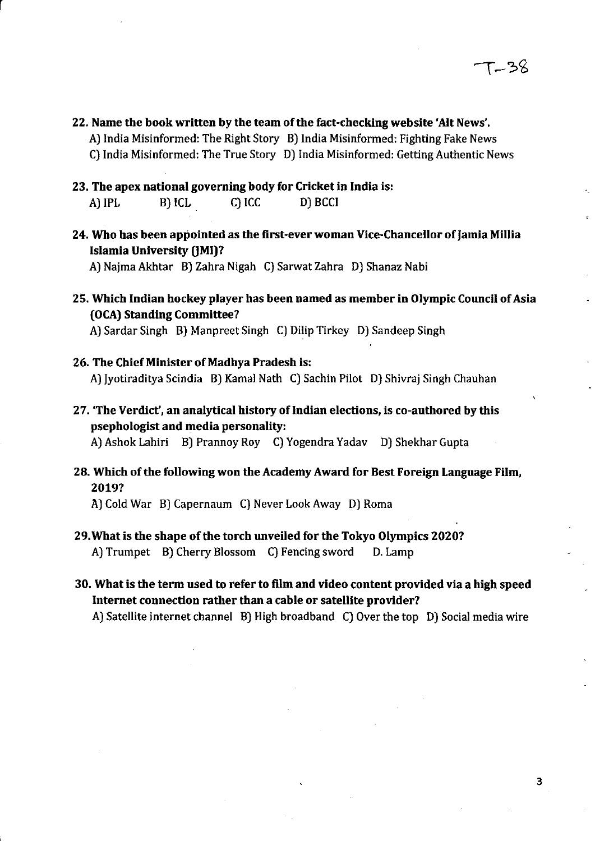22. Name the book written by the team of the fact-checking website 'AIt News'.

A) India Misinformed: The Right Story B) India Misinformed: Fighting Fake News C) India Misinformed: The True Story D) India Misinformed: Getting Authentic News

23. The apex national governing body for Cricket in India is: A) IPL B) ICL C) ICC D) BCCI

r----

24. Who has been appointed as the first-ever woman Vice-Chancellor of lamia Millia Islamia University (JMI)?

A) Najma Akhtar B) Zahra Nigah C) Sarwat Zahra D) Shanaz Nabi

25. Which Indian hockey player has been named as member in Olympic Council of Asia (OCA) Standing Committee?

A) Sardar Singh B) Manpreet Singh C) Oilip Tirkey 0) Sandeep Singh

26. The Chief Minister of Madhya Pradesh is:

A) Jyotiraditya Scindia B) Kamal Nath C) Sachin Pilot 0) Shivraj Singh Chauhan

27. 'The Verdict', an analytical history of Indian elections, is co-authored by this psephologist and media personality:

A) Ashok Lahiri B) Prannoy Roy C) Yogendra Yadav D) Shekhar Gupta

28. Which of the following won the Academy Award for Best Foreign Language Film, 2019?

A) Cold War B) Capernaum C) Never Look Away 0) Roma

29. What is the shape of the torch unveiled for the Tokyo Olympics 2020?

A) Trumpet B) Cherry Blossom C) Fencing sword D. Lamp

30. What is the term used to refer to film and video content provided via a high speed Internet connection rather than a cable or satellite provider?

A) Satellite internet channel  $B$ ) High broadband  $C$ ) Over the top  $D$ ) Social media wire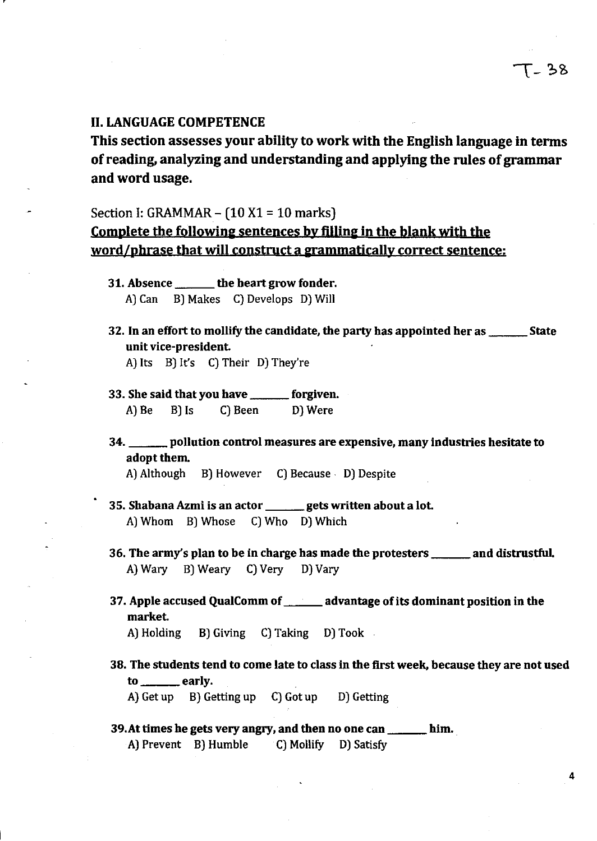4

# II. LANGUAGE COMPETENCE

This section assesses your ability to work with the English language in terms of reading, analyzing and understanding and applying the rules of grammar and word usage.

# Section I: GRAMMAR  $(10 X1 = 10 \text{ marks})$

# Complete the following sentences by filling in the blank with the word/phrase that will construct a grammatically correct sentence:

- 31. Absence **the heart grow fonder.** A) Can B) Makes C) Develops D) Will
- 32. In an effort to mollify the candidate, the party has appointed her as  $\frac{1}{\sqrt{1-\frac{1}{n}}}$  State unit vice-president.

A) Its B) It's C) Their D) They're

- 33. She said that you have \_\_\_ forgiven. A) Be B) Is C) Been D) Were
- 34. pollution control measures are expensive, many Industries hesitate to adopt them.

A) Although B) However C) Because, D) Despite

- 35. Shabana Azmi is an actor gets written about a lot. A) Whom B) Whose C) Who D) Which
- 36. The army's plan to be in charge has made the protesters \_\_\_ and distrustful. A) Wary B) Weary C) Very D) Vary
- 37. Apple accused QualComm of \_\_\_\_\_\_ advantage of its dominant position in the market.

A) Holding B) Giving C) Taking D) Took

- 38. The students tend to come late to class in the first week, because they are not used to \_\_\_\_\_\_\_\_ early. A) Get up B) Getting up C) Got up D) Getting
- 39. At times he gets very angry, and then no one can \_\_\_\_\_\_\_ him. A) Prevent B) Humble C) Mollify D) Satisfy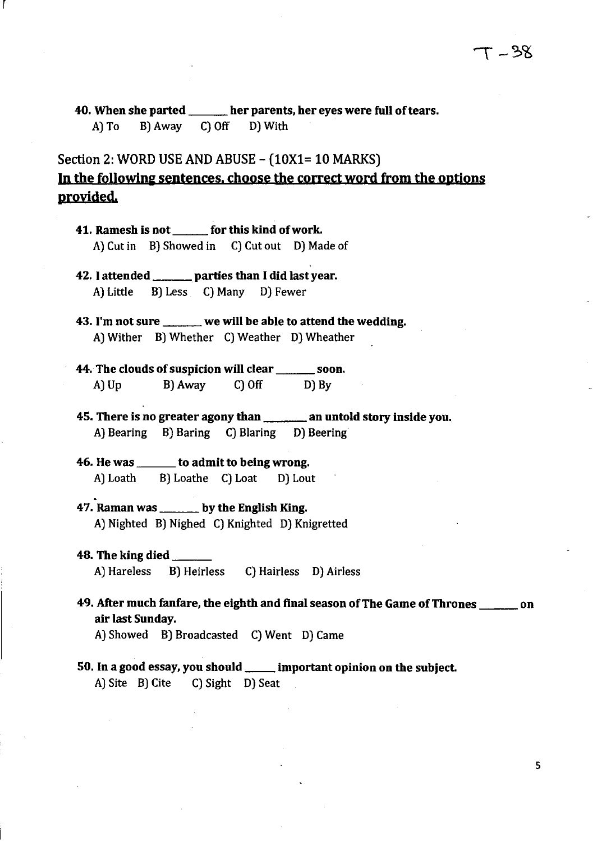40. When she parted \_\_\_ her parents, her eyes were full of tears. A) To  $B$ ) Away C) Off D) With

# Section 2: WORD USE AND ABUSE - (10X1= 10 MARKS) In the following sentences, choose the correct word from the options provided.

- 41. Ramesh is not for this kind of work. A) Cut in B) Showed in C) Cut out D) Made of
- 42. I attended \_\_\_\_\_\_ parties than I did last year. A) Little B) Less C) Many 0) Fewer
- 43. I'm not sure we will be able to attend the wedding. A) Wither B) Whether C) Weather D) Wheather
- 44. The clouds of suspicion will clear \_\_\_\_\_\_\_ soon. A) Up B) Away C) Off D) By
- 45. There is no greater agony than \_\_\_\_\_\_\_ an untold story inside you. A) Bearing B) Baring C) Blaring D) Beering
- 46. He was \_\_\_\_\_\_ to admit to being wrong. A) Loath B) Loathe C) Loat D) Lout
- 47. Raman was \_\_\_\_\_\_\_ by the English King. A) Nighted B) Nighed C) Knighted D) Knigretted

# 48. The king died  $\Box$

r

A) Hareless B) Heirless C) Hairless 0) Airless

49. After much fanfare, the eighth and final season of The Game of Thrones \_\_\_\_\_\_ on air last Sunday.

A) Showed B) Broadcasted C) Went D) Came

50. In a good essay, you should \_\_\_\_\_ important opinion on the subject. A) Site B) Cite C) Sight D) Seat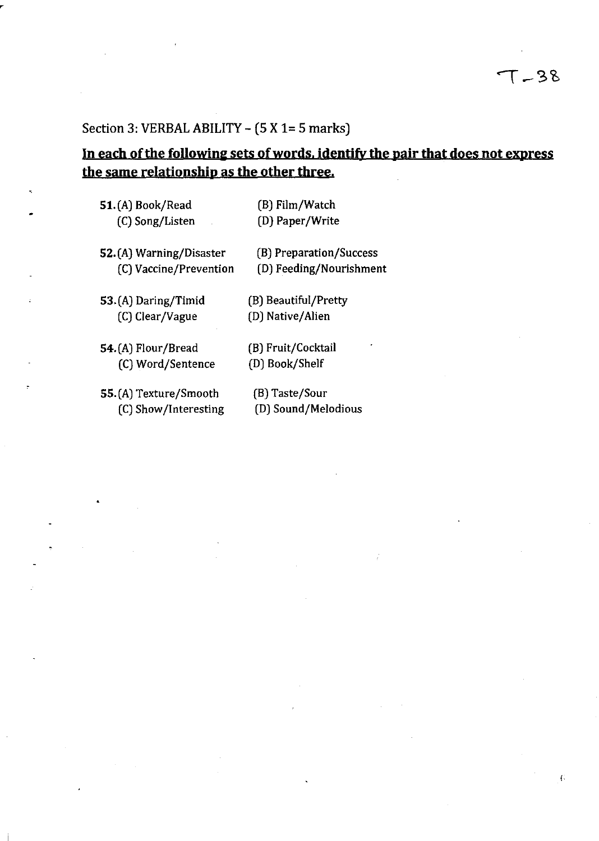$\mathfrak{c}$ 

# Section 3: VERBAL ABILITY - (5 X 1 = 5 marks)

# In each of the following sets of words. identify the pair that does not express the same relationship as the other three.

(B) Preparation/Success (D) Feeding/Nourishment

- 51. (A) Book/Read (C) Song/Listen
- (B) Film/Watch (D) Paper/Write
- 52. (A) Warning/Disaster (C) Vaccine/Prevention
- 53. (A) Daring/Timid (C) Clear/Vague
- (B) Beautiful/Pretty (D) Native/Alien
- 54. (A) Flour/Bread (C) Word/Sentence
- 55. (A) Texture/Smooth (C) Show/Interesting
- (B) Fruit/Cocktail (D) Book/Shelf
- (B) Taste/Sour (D) Sound/Melodious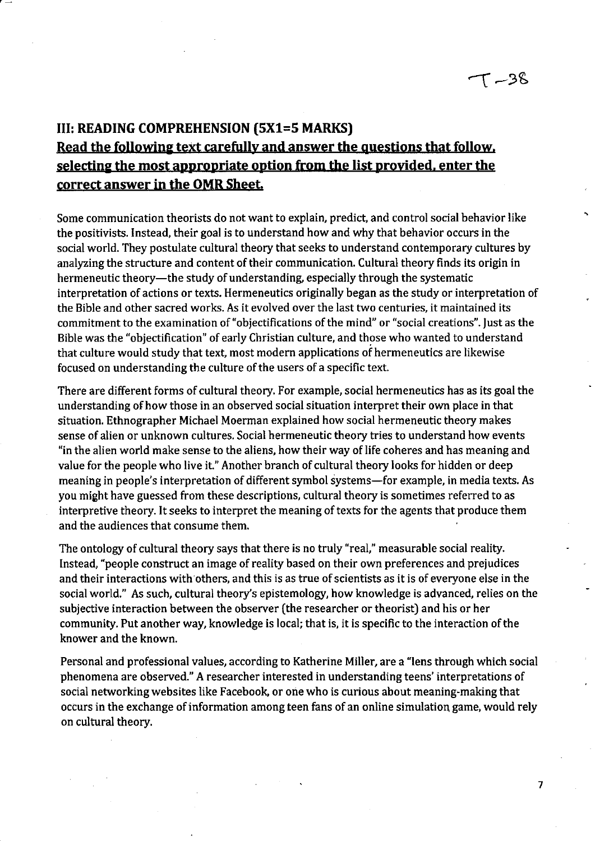# **III: READING COMPREHENSION (5Xl=5 MARKS) Read the following text carefully and answer the questions that follow. selecting the most appropriate option from the list provided. enter the correct answer in the OMR Sheet.**

Some communication theorists do not want to explain, predict, and control social behavior like the positivists. Instead, their goal is to understand how and why that behavior occurs in the social world. They postulate cultural theory that seeks to understand contemporary cultures by analyzing the structure and content of their communication. Cultural theory finds its origin in hermeneutic theory-the study of understanding, especially through the systematic interpretation of actions or texts. Hermeneutics originally began as the study or interpretation of the Bible and other sacred works. As it evolved over the last two centuries, it maintained its commitment to the examination of "objectifications of the mind" or "social creations". Just as the Bible was the "objectification" of early Christian culture, and those who wanted to understand that culture would study that text, most modern applications of hermeneutics are likewise focused on understanding the culture of the users of a specific text.

There are different forms of cultural theory. For example, social hermeneutics has as its goal the understanding of how those in an observed social situation interpret their own place in that situation. Ethnographer Michael Moerman explained how social hermeneutic theory makes sense of alien or unknown cultures. Social hermeneutic theory tries to understand how events "in the alien world make sense to the aliens, how their way of life coheres and has meaning and value for the people who live it." Another branch of cultural theory looks for hidden or deep meaning in people's interpretation of different symbol systems-for example, in media texts. As you might have guessed from these descriptions, cultural theory is sometimes referred to as interpretive theory. It seeks to interpret the meaning of texts for the agents that produce them and the audiences that consume them.

The ontology of cultural theory says that there is no truly "real," measurable social reality. Instead, "people construct an image of reality based on their own preferences and prejudices and their interactions with others, and this is as true of scientists as it is of everyone else in the social world." As such, cultural theory's epistemology, how knowledge is advanced, relies on the subjective interaction between the observer (the researcher or theorist) and his or her community. Put another way, knowledge is local; that is, it is specific to the interaction of the knower and the known.

Personal and professional values, according to Katherine Miller, are a "lens through which social phenomena are observed." A researcher interested in understanding teens' interpretations of social networking websites like Facebook, or one who is curious about meaning-making that occurs in the exchange of information among teen fans of an online simulation game, would rely on cultural theory.

7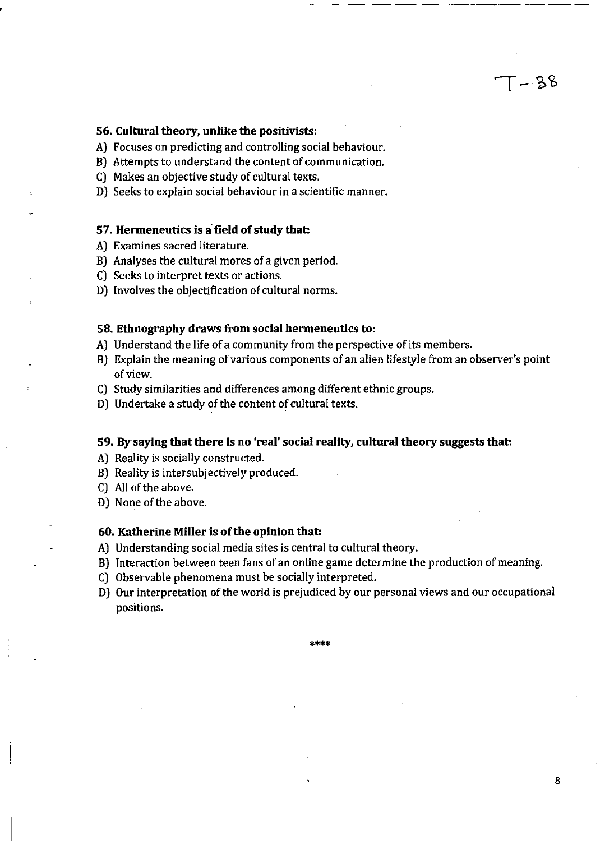## 56. Cultural theory, unlike the positivists:

- A) Focuses on predicting and controlling social behaviour.
- B) Attempts to understand the content of communication.
- C) Makes an objective study of cultural texts.
- 0) Seeks to explain social behaviour in a scientific manner.

# 57. Hermeneutics is a field of study that:

- A) Examines sacred literature.
- B) Analyses the cultural mores of a given period.
- C) Seeks to interpret texts or actions.
- 0) Involves the objectification of cultural norms.

## 58. Ethnography draws from social hermeneutics to:

- A) Understand the life of a community from the perspective of its members.
- B) Explain the meaning of various components of an alien lifestyle from an observer's point of view.
- C) Study similarities and differences among different ethnic groups.
- D) Undertake a study of the content of cultural texts.

### 59. By saying that there is no 'real' social reality, cultural theory suggests that:

- A) Reality is socially constructed.
- B) Reality is intersubjectively produced.
- C) All of the above.
- D) None of the above.

## 60. Katherine Miller is of the opinion that:

- A) Understanding social media sites is central to cultural theory.
- B) Interaction between teen fans of an online game determine the production of meaning.
- C) Observable phenomena must be socially interpreted.
- 0) Our interpretation of the world is prejudiced by our personal views and our occupational positions.

**\*\*\*\*** 

 $T - 38$